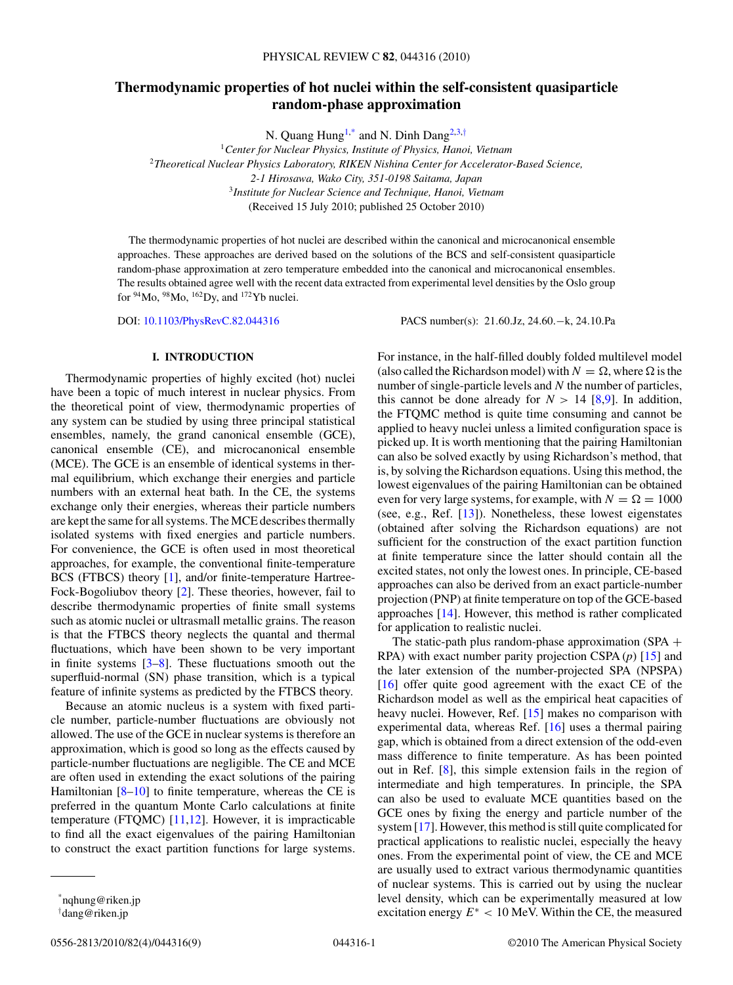# **Thermodynamic properties of hot nuclei within the self-consistent quasiparticle random-phase approximation**

N. Quang Hung<sup>1,\*</sup> and N. Dinh Dang<sup>2,3,†</sup>

<sup>1</sup>*Center for Nuclear Physics, Institute of Physics, Hanoi, Vietnam* <sup>2</sup>*Theoretical Nuclear Physics Laboratory, RIKEN Nishina Center for Accelerator-Based Science, 2-1 Hirosawa, Wako City, 351-0198 Saitama, Japan* <sup>3</sup>*Institute for Nuclear Science and Technique, Hanoi, Vietnam* (Received 15 July 2010; published 25 October 2010)

The thermodynamic properties of hot nuclei are described within the canonical and microcanonical ensemble approaches. These approaches are derived based on the solutions of the BCS and self-consistent quasiparticle random-phase approximation at zero temperature embedded into the canonical and microcanonical ensembles. The results obtained agree well with the recent data extracted from experimental level densities by the Oslo group for  $94$ Mo,  $98$ Mo,  $162$ Dy, and  $172$ Yb nuclei.

DOI: [10.1103/PhysRevC.82.044316](http://dx.doi.org/10.1103/PhysRevC.82.044316) PACS number(s): 21*.*60*.*Jz, 24*.*60*.*−k, 24*.*10*.*Pa

For instance, in the half-filled doubly folded multilevel model

# **I. INTRODUCTION**

Thermodynamic properties of highly excited (hot) nuclei have been a topic of much interest in nuclear physics. From the theoretical point of view, thermodynamic properties of any system can be studied by using three principal statistical ensembles, namely, the grand canonical ensemble (GCE), canonical ensemble (CE), and microcanonical ensemble (MCE). The GCE is an ensemble of identical systems in thermal equilibrium, which exchange their energies and particle numbers with an external heat bath. In the CE, the systems exchange only their energies, whereas their particle numbers are kept the same for all systems. The MCE describes thermally isolated systems with fixed energies and particle numbers. For convenience, the GCE is often used in most theoretical approaches, for example, the conventional finite-temperature BCS (FTBCS) theory [\[1\]](#page-8-0), and/or finite-temperature Hartree-Fock-Bogoliubov theory [\[2\]](#page-8-0). These theories, however, fail to describe thermodynamic properties of finite small systems such as atomic nuclei or ultrasmall metallic grains. The reason is that the FTBCS theory neglects the quantal and thermal fluctuations, which have been shown to be very important in finite systems  $[3-8]$ . These fluctuations smooth out the superfluid-normal (SN) phase transition, which is a typical feature of infinite systems as predicted by the FTBCS theory.

Because an atomic nucleus is a system with fixed particle number, particle-number fluctuations are obviously not allowed. The use of the GCE in nuclear systems is therefore an approximation, which is good so long as the effects caused by particle-number fluctuations are negligible. The CE and MCE are often used in extending the exact solutions of the pairing Hamiltonian  $[8-10]$  to finite temperature, whereas the CE is preferred in the quantum Monte Carlo calculations at finite temperature (FTQMC) [\[11,12\]](#page-8-0). However, it is impracticable to find all the exact eigenvalues of the pairing Hamiltonian to construct the exact partition functions for large systems.

(also called the Richardson model) with  $N = \Omega$ , where  $\Omega$  is the number of single-particle levels and *N* the number of particles, this cannot be done already for  $N > 14$  [\[8,9\]](#page-8-0). In addition, the FTQMC method is quite time consuming and cannot be applied to heavy nuclei unless a limited configuration space is picked up. It is worth mentioning that the pairing Hamiltonian can also be solved exactly by using Richardson's method, that is, by solving the Richardson equations. Using this method, the lowest eigenvalues of the pairing Hamiltonian can be obtained even for very large systems, for example, with  $N = \Omega = 1000$ (see, e.g., Ref. [\[13\]](#page-8-0)). Nonetheless, these lowest eigenstates (obtained after solving the Richardson equations) are not sufficient for the construction of the exact partition function at finite temperature since the latter should contain all the excited states, not only the lowest ones. In principle, CE-based approaches can also be derived from an exact particle-number projection (PNP) at finite temperature on top of the GCE-based approaches [\[14\]](#page-8-0). However, this method is rather complicated for application to realistic nuclei.

The static-path plus random-phase approximation  $(SPA +$ RPA) with exact number parity projection CSPA (*p*) [\[15\]](#page-8-0) and the later extension of the number-projected SPA (NPSPA) [\[16\]](#page-8-0) offer quite good agreement with the exact CE of the Richardson model as well as the empirical heat capacities of heavy nuclei. However, Ref. [\[15\]](#page-8-0) makes no comparison with experimental data, whereas Ref. [\[16\]](#page-8-0) uses a thermal pairing gap, which is obtained from a direct extension of the odd-even mass difference to finite temperature. As has been pointed out in Ref. [\[8\]](#page-8-0), this simple extension fails in the region of intermediate and high temperatures. In principle, the SPA can also be used to evaluate MCE quantities based on the GCE ones by fixing the energy and particle number of the system [\[17\]](#page-8-0). However, this method is still quite complicated for practical applications to realistic nuclei, especially the heavy ones. From the experimental point of view, the CE and MCE are usually used to extract various thermodynamic quantities of nuclear systems. This is carried out by using the nuclear level density, which can be experimentally measured at low excitation energy  $E^*$  < 10 MeV. Within the CE, the measured

<sup>\*</sup>nqhung@riken.jp

<sup>†</sup> dang@riken.jp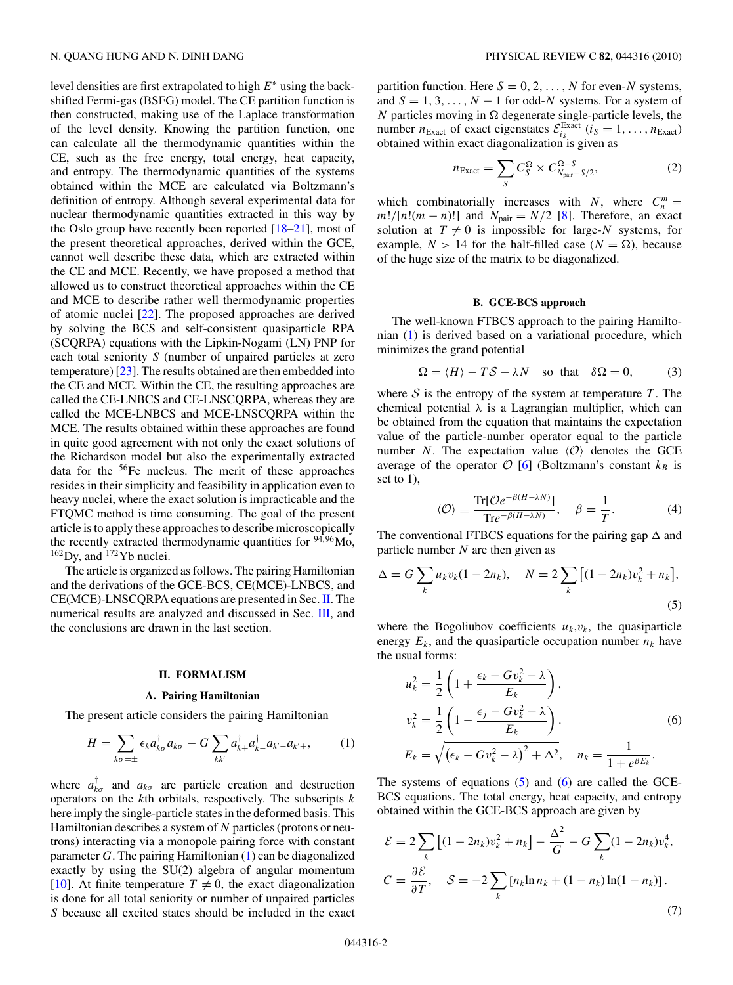<span id="page-1-0"></span>level densities are first extrapolated to high *E*<sup>∗</sup> using the backshifted Fermi-gas (BSFG) model. The CE partition function is then constructed, making use of the Laplace transformation of the level density. Knowing the partition function, one can calculate all the thermodynamic quantities within the CE, such as the free energy, total energy, heat capacity, and entropy. The thermodynamic quantities of the systems obtained within the MCE are calculated via Boltzmann's definition of entropy. Although several experimental data for nuclear thermodynamic quantities extracted in this way by the Oslo group have recently been reported [\[18–21\]](#page-8-0), most of the present theoretical approaches, derived within the GCE, cannot well describe these data, which are extracted within the CE and MCE. Recently, we have proposed a method that allowed us to construct theoretical approaches within the CE and MCE to describe rather well thermodynamic properties of atomic nuclei [\[22\]](#page-8-0). The proposed approaches are derived by solving the BCS and self-consistent quasiparticle RPA (SCQRPA) equations with the Lipkin-Nogami (LN) PNP for each total seniority *S* (number of unpaired particles at zero temperature) [\[23\]](#page-8-0). The results obtained are then embedded into the CE and MCE. Within the CE, the resulting approaches are called the CE-LNBCS and CE-LNSCQRPA, whereas they are called the MCE-LNBCS and MCE-LNSCQRPA within the MCE. The results obtained within these approaches are found in quite good agreement with not only the exact solutions of the Richardson model but also the experimentally extracted data for the  $56$ Fe nucleus. The merit of these approaches resides in their simplicity and feasibility in application even to heavy nuclei, where the exact solution is impracticable and the FTQMC method is time consuming. The goal of the present article is to apply these approaches to describe microscopically the recently extracted thermodynamic quantities for <sup>94</sup>*,*96Mo,  $162$  Dy, and  $172$  Yb nuclei.

The article is organized as follows. The pairing Hamiltonian and the derivations of the GCE-BCS, CE(MCE)-LNBCS, and CE(MCE)-LNSCQRPA equations are presented in Sec. II. The numerical results are analyzed and discussed in Sec. [III,](#page-4-0) and the conclusions are drawn in the last section.

#### **II. FORMALISM**

# **A. Pairing Hamiltonian**

The present article considers the pairing Hamiltonian

$$
H = \sum_{k\sigma=\pm} \epsilon_k a_{k\sigma}^\dagger a_{k\sigma} - G \sum_{k\kappa'} a_{k+1}^\dagger a_{k-1\kappa'-k+1} \tag{1}
$$

where  $a_{k\sigma}^{\dagger}$  and  $a_{k\sigma}$  are particle creation and destruction operators on the *k*th orbitals, respectively. The subscripts *k* here imply the single-particle states in the deformed basis. This Hamiltonian describes a system of *N* particles (protons or neutrons) interacting via a monopole pairing force with constant parameter *G*. The pairing Hamiltonian (1) can be diagonalized exactly by using the SU(2) algebra of angular momentum [\[10\]](#page-8-0). At finite temperature  $T \neq 0$ , the exact diagonalization is done for all total seniority or number of unpaired particles *S* because all excited states should be included in the exact

partition function. Here  $S = 0, 2, ..., N$  for even-*N* systems, and  $S = 1, 3, \ldots, N - 1$  for odd-*N* systems. For a system of *N* particles moving in  $\Omega$  degenerate single-particle levels, the number  $n_{\text{Exact}}$  of exact eigenstates  $\mathcal{E}_{i_S}^{\text{Exact}}$  ( $i_S = 1, ..., n_{\text{Exact}}$ ) obtained within exact diagonalization is given as

$$
n_{\text{Exact}} = \sum_{S} C_{S}^{\Omega} \times C_{N_{\text{pair}}-S/2}^{\Omega-S}, \tag{2}
$$

which combinatorially increases with *N*, where  $C_n^m =$  $m!/[n!(m-n)!]$  and  $N_{\text{pair}} = N/2$  [\[8\]](#page-8-0). Therefore, an exact solution at  $T \neq 0$  is impossible for large-*N* systems, for example,  $N > 14$  for the half-filled case  $(N = \Omega)$ , because of the huge size of the matrix to be diagonalized.

## **B. GCE-BCS approach**

The well-known FTBCS approach to the pairing Hamiltonian (1) is derived based on a variational procedure, which minimizes the grand potential

$$
\Omega = \langle H \rangle - T S - \lambda N \quad \text{so that} \quad \delta \Omega = 0,\tag{3}
$$

where  $S$  is the entropy of the system at temperature  $T$ . The chemical potential *λ* is a Lagrangian multiplier, which can be obtained from the equation that maintains the expectation value of the particle-number operator equal to the particle number *N*. The expectation value  $\langle O \rangle$  denotes the GCE average of the operator  $O[6]$  $O[6]$  (Boltzmann's constant  $k_B$  is set to 1),

$$
\langle \mathcal{O} \rangle \equiv \frac{\text{Tr}[\mathcal{O}e^{-\beta(H-\lambda N)}]}{\text{Tr}e^{-\beta(H-\lambda N)}}, \quad \beta = \frac{1}{T}.
$$
 (4)

The conventional FTBCS equations for the pairing gap  $\Delta$  and particle number *N* are then given as

$$
\Delta = G \sum_{k} u_{k} v_{k} (1 - 2n_{k}), \quad N = 2 \sum_{k} \left[ (1 - 2n_{k}) v_{k}^{2} + n_{k} \right],
$$
\n(5)

where the Bogoliubov coefficients  $u_k, v_k$ , the quasiparticle energy  $E_k$ , and the quasiparticle occupation number  $n_k$  have the usual forms:

$$
u_k^2 = \frac{1}{2} \left( 1 + \frac{\epsilon_k - Gv_k^2 - \lambda}{E_k} \right),
$$
  
\n
$$
v_k^2 = \frac{1}{2} \left( 1 - \frac{\epsilon_j - Gv_k^2 - \lambda}{E_k} \right).
$$
  
\n
$$
E_k = \sqrt{\left(\epsilon_k - Gv_k^2 - \lambda\right)^2 + \Delta^2}, \quad n_k = \frac{1}{1 + e^{\beta E_k}}.
$$
  
\n(6)

The systems of equations  $(5)$  and  $(6)$  are called the GCE-BCS equations. The total energy, heat capacity, and entropy obtained within the GCE-BCS approach are given by

$$
\mathcal{E} = 2\sum_{k} \left[ (1 - 2n_k)v_k^2 + n_k \right] - \frac{\Delta^2}{G} - G \sum_{k} (1 - 2n_k)v_k^4,
$$
  

$$
C = \frac{\partial \mathcal{E}}{\partial T}, \quad \mathcal{S} = -2\sum_{k} \left[ n_k \ln n_k + (1 - n_k) \ln(1 - n_k) \right].
$$
  
(7)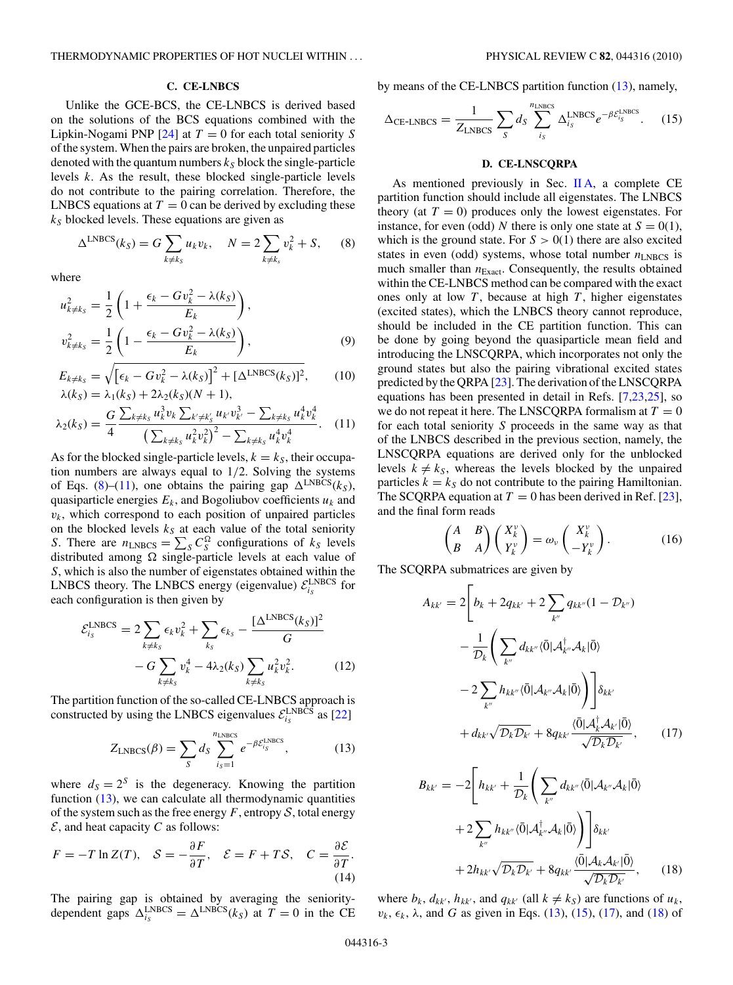#### **C. CE-LNBCS**

<span id="page-2-0"></span>Unlike the GCE-BCS, the CE-LNBCS is derived based on the solutions of the BCS equations combined with the Lipkin-Nogami PNP  $[24]$  at  $T = 0$  for each total seniority S of the system. When the pairs are broken, the unpaired particles denoted with the quantum numbers  $k<sub>S</sub>$  block the single-particle levels *k*. As the result, these blocked single-particle levels do not contribute to the pairing correlation. Therefore, the LNBCS equations at  $T = 0$  can be derived by excluding these  $k<sub>S</sub>$  blocked levels. These equations are given as

$$
\Delta^{\text{LNBCS}}(k_S) = G \sum_{k \neq k_S} u_k v_k, \quad N = 2 \sum_{k \neq k_s} v_k^2 + S, \quad (8)
$$

where

$$
u_{k \neq k_S}^2 = \frac{1}{2} \left( 1 + \frac{\epsilon_k - G v_k^2 - \lambda(k_S)}{E_k} \right),
$$
  

$$
v_{k \neq k_S}^2 = \frac{1}{2} \left( 1 - \frac{\epsilon_k - G v_k^2 - \lambda(k_S)}{E_k} \right),
$$
 (9)

$$
E_{k \neq k_S} = \sqrt{\left[\epsilon_k - Gv_k^2 - \lambda(k_S)\right]^2 + [\Delta^{LNBCS}(k_S)]^2},\qquad(10)
$$
  

$$
\lambda(k_S) = \lambda_1(k_S) + 2\lambda_2(k_S)(N + 1),
$$

$$
\lambda_2(k_S) = \frac{G}{4} \frac{\sum_{k \neq k_S} u_k^3 v_k \sum_{k' \neq k'_S} u_{k'} v_{k'}^3 - \sum_{k \neq k_S} u_k^4 v_k^4}{\left(\sum_{k \neq k_S} u_k^2 v_k^2\right)^2 - \sum_{k \neq k_S} u_k^4 v_k^4}.
$$
 (11)

As for the blocked single-particle levels,  $k = k<sub>S</sub>$ , their occupation numbers are always equal to 1*/*2. Solving the systems of Eqs. (8)–(11), one obtains the pairing gap  $\Delta^{LNBCS}(k_S)$ , quasiparticle energies  $E_k$ , and Bogoliubov coefficients  $u_k$  and  $v_k$ , which correspond to each position of unpaired particles on the blocked levels  $k<sub>S</sub>$  at each value of the total seniority *S*. There are  $n_{LNECS} = \sum_{S} C_S^{\Omega}$  configurations of  $k_S$  levels distributed among  $\Omega$  single-particle levels at each value of *S*, which is also the number of eigenstates obtained within the LNBCS theory. The LNBCS energy (eigenvalue)  $\mathcal{E}_{i_S}^{\text{LNBCS}}$  for each configuration is then given by

$$
\mathcal{E}_{i_S}^{\text{LNBCS}} = 2 \sum_{k \neq k_S} \epsilon_k v_k^2 + \sum_{k_S} \epsilon_{k_S} - \frac{[\Delta^{\text{LNBCS}}(k_S)]^2}{G}
$$

$$
- G \sum_{k \neq k_S} v_k^4 - 4\lambda_2(k_S) \sum_{k \neq k_S} u_k^2 v_k^2. \tag{12}
$$

The partition function of the so-called CE-LNBCS approach is constructed by using the LNBCS eigenvalues  $\mathcal{E}_{i_S}^{\text{LNEGS}}$  as [\[22\]](#page-8-0)

$$
Z_{\text{LNBCS}}(\beta) = \sum_{S} d_{S} \sum_{i_{S}=1}^{n_{\text{LNBCS}}} e^{-\beta \mathcal{E}_{i_{S}}^{\text{LNBCS}}}, \tag{13}
$$

where  $d_S = 2^S$  is the degeneracy. Knowing the partition function  $(13)$ , we can calculate all thermodynamic quantities of the system such as the free energy  $F$ , entropy  $S$ , total energy  $\mathcal{E}$ , and heat capacity  $C$  as follows:

$$
F = -T \ln Z(T), \quad S = -\frac{\partial F}{\partial T}, \quad \mathcal{E} = F + T\mathcal{S}, \quad C = \frac{\partial \mathcal{E}}{\partial T}.
$$
\n(14)

The pairing gap is obtained by averaging the senioritydependent gaps  $\Delta_{i_S}^{\text{LNBCS}} = \Delta^{\text{LNBCS}}(k_S)$  at  $T = 0$  in the CE by means of the CE-LNBCS partition function (13), namely,

$$
\Delta_{\text{CE-LNBCS}} = \frac{1}{Z_{\text{LNBCS}}} \sum_{S} d_{S} \sum_{i_{S}}^{n_{\text{LNBCS}}} \Delta_{i_{S}}^{\text{LNBCS}} e^{-\beta \mathcal{E}_{i_{S}}^{\text{LMBCS}}}.
$$
 (15)

# **D. CE-LNSCQRPA**

As mentioned previously in Sec. IIA, a complete CE partition function should include all eigenstates. The LNBCS theory (at  $T = 0$ ) produces only the lowest eigenstates. For instance, for even (odd) *N* there is only one state at  $S = 0(1)$ , which is the ground state. For  $S > 0(1)$  there are also excited states in even (odd) systems, whose total number  $n_{LNBCS}$  is much smaller than  $n_{Exact}$ . Consequently, the results obtained within the CE-LNBCS method can be compared with the exact ones only at low *T* , because at high *T* , higher eigenstates (excited states), which the LNBCS theory cannot reproduce, should be included in the CE partition function. This can be done by going beyond the quasiparticle mean field and introducing the LNSCQRPA, which incorporates not only the ground states but also the pairing vibrational excited states predicted by the QRPA [\[23\]](#page-8-0). The derivation of the LNSCQRPA equations has been presented in detail in Refs. [\[7,23,25\]](#page-8-0), so we do not repeat it here. The LNSCQRPA formalism at  $T = 0$ for each total seniority *S* proceeds in the same way as that of the LNBCS described in the previous section, namely, the LNSCQRPA equations are derived only for the unblocked levels  $k \neq k_s$ , whereas the levels blocked by the unpaired particles  $k = k<sub>S</sub>$  do not contribute to the pairing Hamiltonian. The SCQRPA equation at  $T = 0$  has been derived in Ref. [\[23\]](#page-8-0), and the final form reads

$$
\begin{pmatrix} A & B \\ B & A \end{pmatrix} \begin{pmatrix} X_k^{\nu} \\ Y_k^{\nu} \end{pmatrix} = \omega_{\nu} \begin{pmatrix} X_k^{\nu} \\ -Y_k^{\nu} \end{pmatrix}.
$$
 (16)

The SCQRPA submatrices are given by

$$
A_{kk'} = 2\left[b_k + 2q_{kk'} + 2\sum_{k''} q_{kk''}(1 - \mathcal{D}_{k''})\right.-\frac{1}{\mathcal{D}_k}\left(\sum_{k''} d_{kk''}\langle\bar{0}|\mathcal{A}_{k''}^{\dagger}\mathcal{A}_k|\bar{0}\rangle\right.-\frac{2}{k''}\sum_{k''} h_{kk''}\langle\bar{0}|\mathcal{A}_{k''}\mathcal{A}_k|\bar{0}\rangle\right)\right]\delta_{kk'}
$$

$$
+ d_{kk'}\sqrt{\mathcal{D}_k\mathcal{D}_{k'}} + 8q_{kk'}\frac{\langle\bar{0}|\mathcal{A}_k^{\dagger}\mathcal{A}_{k'}|\bar{0}\rangle}{\sqrt{\mathcal{D}_k\mathcal{D}_{k'}}},\qquad(17)
$$

$$
B_{kk'} = -2 \left[ h_{kk'} + \frac{1}{\mathcal{D}_k} \left( \sum_{k''} d_{kk''} \langle \bar{0} | \mathcal{A}_{k''} \mathcal{A}_k | \bar{0} \rangle \right) + 2 \sum_{k''} h_{kk''} \langle \bar{0} | \mathcal{A}_{k''}^\dagger \mathcal{A}_k | \bar{0} \rangle \right] \delta_{kk'}
$$

$$
+ 2 h_{kk'} \sqrt{\mathcal{D}_k \mathcal{D}_{k'}} + 8 q_{kk'} \frac{\langle \bar{0} | \mathcal{A}_k \mathcal{A}_{k'} | \bar{0} \rangle}{\sqrt{\mathcal{D}_k \mathcal{D}_{k'}}}, \qquad (18)
$$

where  $b_k$ ,  $d_{kk'}$ ,  $h_{kk'}$ , and  $q_{kk'}$  (all  $k \neq k_S$ ) are functions of  $u_k$ , *v<sub>k</sub>*,  $\epsilon_k$ , λ, and *G* as given in Eqs. (13), (15), (17), and (18) of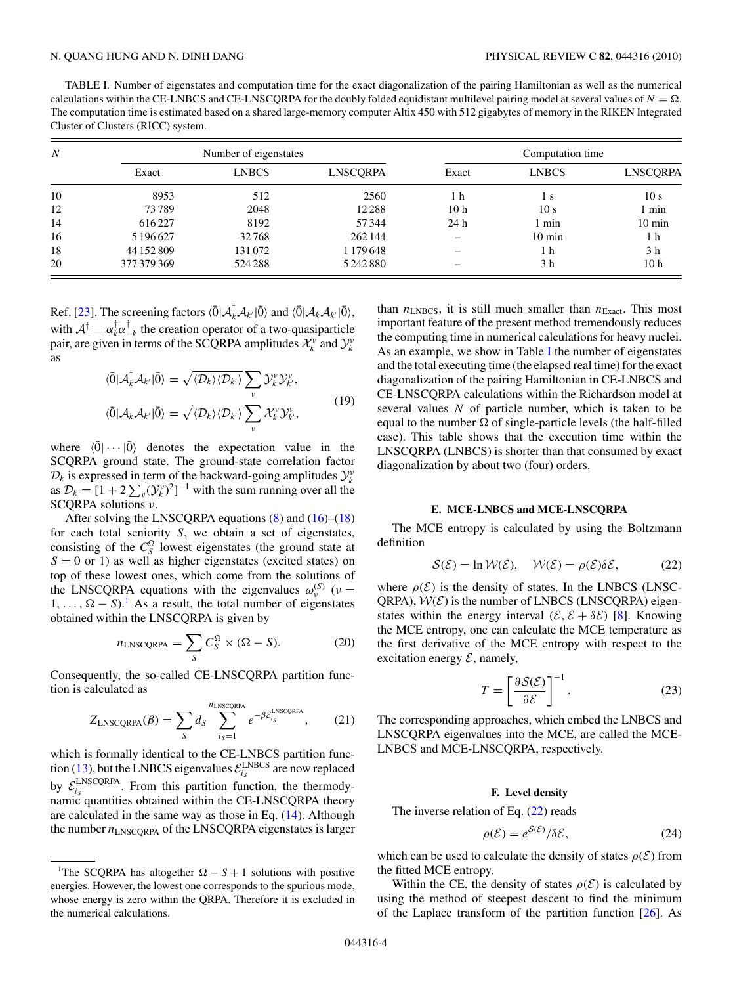<span id="page-3-0"></span>TABLE I. Number of eigenstates and computation time for the exact diagonalization of the pairing Hamiltonian as well as the numerical calculations within the CE-LNBCS and CE-LNSCQRPA for the doubly folded equidistant multilevel pairing model at several values of  $N = \Omega$ . The computation time is estimated based on a shared large-memory computer Altix 450 with 512 gigabytes of memory in the RIKEN Integrated Cluster of Clusters (RICC) system.

| $\boldsymbol{N}$ | Number of eigenstates |              |                 | Computation time |                  |                  |
|------------------|-----------------------|--------------|-----------------|------------------|------------------|------------------|
|                  | Exact                 | <b>LNBCS</b> | <b>LNSCORPA</b> | Exact            | <b>LNBCS</b>     | LNSCORPA         |
| 10               | 8953                  | 512          | 2560            | 1 <sub>h</sub>   | Ιs               | 10 <sub>s</sub>  |
| 12               | 73789                 | 2048         | 12288           | 10 <sub>h</sub>  | 10 <sub>s</sub>  | l min            |
| 14               | 616227                | 8192         | 57344           | 24h              | 1 min            | $10 \text{ min}$ |
| 16               | 5 196 6 27            | 32768        | 262 144         |                  | $10 \text{ min}$ | 1 h              |
| 18               | 44 152 809            | 131 072      | 1 179 648       |                  | 1 h              | 3 <sub>h</sub>   |
| 20               | 377 379 369           | 524 288      | 5 242 880       |                  | 3 <sub>h</sub>   | 10 <sub>h</sub>  |

Ref. [\[23\]](#page-8-0). The screening factors  $\langle \bar{0} | A_k^{\dagger} A_{k'} | \bar{0} \rangle$  and  $\langle \bar{0} | A_k A_{k'} | \bar{0} \rangle$ , with  $A^{\dagger} \equiv \alpha_k^{\dagger} \alpha_{-k}^{\dagger}$  the creation operator of a two-quasiparticle pair, are given in terms of the SCQRPA amplitudes  $\mathcal{X}_k^{\nu}$  and  $\mathcal{Y}_k^{\nu}$ as

$$
\langle \bar{0} | A_{k}^{\dagger} A_{k'} | \bar{0} \rangle = \sqrt{\langle \mathcal{D}_{k} \rangle \langle \mathcal{D}_{k'} \rangle} \sum_{\nu} \mathcal{Y}_{k}^{\nu} \mathcal{Y}_{k'}^{\nu},
$$
  

$$
\langle \bar{0} | A_{k} A_{k'} | \bar{0} \rangle = \sqrt{\langle \mathcal{D}_{k} \rangle \langle \mathcal{D}_{k'} \rangle} \sum_{\nu} \mathcal{X}_{k}^{\nu} \mathcal{Y}_{k'}^{\nu},
$$
(19)

where  $\langle \overline{0} | \cdots | \overline{0} \rangle$  denotes the expectation value in the SCQRPA ground state. The ground-state correlation factor  $\mathcal{D}_k$  is expressed in term of the backward-going amplitudes  $\mathcal{Y}_k^{\nu}$ as  $\mathcal{D}_k = [1 + 2 \sum_{\nu} (\mathcal{Y}_k^{\nu})^2]^{-1}$  with the sum running over all the SCQRPA solutions *ν*.

After solving the LNSCQRPA equations  $(8)$  and  $(16)$ – $(18)$ for each total seniority *S*, we obtain a set of eigenstates, consisting of the  $C_S^{\Omega}$  lowest eigenstates (the ground state at  $S = 0$  or 1) as well as higher eigenstates (excited states) on top of these lowest ones, which come from the solutions of the LNSCQRPA equations with the eigenvalues  $\omega_v^{(S)}$  ( $\nu =$  $1, \ldots, \Omega - S$ ).<sup>1</sup> As a result, the total number of eigenstates obtained within the LNSCQRPA is given by

$$
n_{\text{LNSCQRPA}} = \sum_{S} C_{S}^{\Omega} \times (\Omega - S). \tag{20}
$$

Consequently, the so-called CE-LNSCQRPA partition function is calculated as

$$
Z_{\text{LNSCQRPA}}(\beta) = \sum_{S} d_{S} \sum_{i_{S}=1}^{n_{\text{LNSCQRPA}}} e^{-\beta \mathcal{E}_{i_{S}}^{\text{LNSCQRPA}}}, \quad (21)
$$

which is formally identical to the CE-LNBCS partition func-tion [\(13\)](#page-2-0), but the LNBCS eigenvalues  $\mathcal{E}_{i_S}^{\text{LNEGS}}$  are now replaced by  $\mathcal{E}_{is}^{\text{LNSCQRPA}}$ . From this partition function, the thermodynamic quantities obtained within the CE-LNSCQRPA theory are calculated in the same way as those in Eq. [\(14\)](#page-2-0). Although the number  $n_{LNSCORPA}$  of the LNSCQRPA eigenstates is larger

than  $n_{LNBCS}$ , it is still much smaller than  $n_{Exact}$ . This most important feature of the present method tremendously reduces the computing time in numerical calculations for heavy nuclei. As an example, we show in Table I the number of eigenstates and the total executing time (the elapsed real time) for the exact diagonalization of the pairing Hamiltonian in CE-LNBCS and CE-LNSCQRPA calculations within the Richardson model at several values *N* of particle number, which is taken to be equal to the number  $\Omega$  of single-particle levels (the half-filled case). This table shows that the execution time within the LNSCQRPA (LNBCS) is shorter than that consumed by exact diagonalization by about two (four) orders.

#### **E. MCE-LNBCS and MCE-LNSCQRPA**

The MCE entropy is calculated by using the Boltzmann definition

$$
S(\mathcal{E}) = \ln \mathcal{W}(\mathcal{E}), \quad \mathcal{W}(\mathcal{E}) = \rho(\mathcal{E})\delta \mathcal{E}, \tag{22}
$$

where  $\rho(\mathcal{E})$  is the density of states. In the LNBCS (LNSC-QRPA),  $W(E)$  is the number of LNBCS (LNSCQRPA) eigenstates within the energy interval  $(\mathcal{E}, \mathcal{E} + \delta \mathcal{E})$  [\[8\]](#page-8-0). Knowing the MCE entropy, one can calculate the MCE temperature as the first derivative of the MCE entropy with respect to the excitation energy  $\mathcal{E}$ , namely,

$$
T = \left[\frac{\partial S(\mathcal{E})}{\partial \mathcal{E}}\right]^{-1}.\tag{23}
$$

The corresponding approaches, which embed the LNBCS and LNSCQRPA eigenvalues into the MCE, are called the MCE-LNBCS and MCE-LNSCQRPA, respectively.

### **F. Level density**

The inverse relation of Eq.  $(22)$  reads

$$
\rho(\mathcal{E}) = e^{\mathcal{S}(\mathcal{E})} / \delta \mathcal{E},\tag{24}
$$

which can be used to calculate the density of states  $\rho(\mathcal{E})$  from the fitted MCE entropy.

Within the CE, the density of states  $\rho(\mathcal{E})$  is calculated by using the method of steepest descent to find the minimum of the Laplace transform of the partition function [\[26\]](#page-8-0). As

<sup>&</sup>lt;sup>1</sup>The SCQRPA has altogether  $\Omega - S + 1$  solutions with positive energies. However, the lowest one corresponds to the spurious mode, whose energy is zero within the QRPA. Therefore it is excluded in the numerical calculations.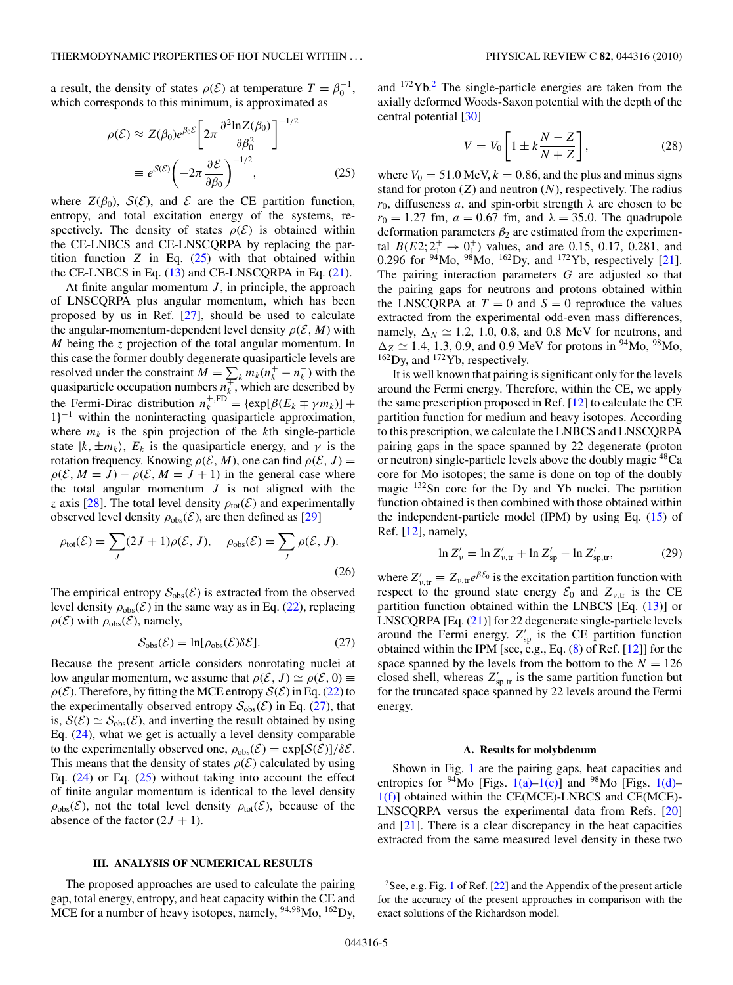<span id="page-4-0"></span>a result, the density of states  $\rho(\mathcal{E})$  at temperature  $T = \beta_0^{-1}$ , which corresponds to this minimum, is approximated as

$$
\rho(\mathcal{E}) \approx Z(\beta_0) e^{\beta_0 \mathcal{E}} \left[ 2\pi \frac{\partial^2 \ln Z(\beta_0)}{\partial \beta_0^2} \right]^{-1/2}
$$

$$
\equiv e^{\mathcal{S}(\mathcal{E})} \left( -2\pi \frac{\partial \mathcal{E}}{\partial \beta_0} \right)^{-1/2}, \qquad (25)
$$

where  $Z(\beta_0)$ ,  $S(\mathcal{E})$ , and  $\mathcal E$  are the CE partition function, entropy, and total excitation energy of the systems, respectively. The density of states  $\rho(\mathcal{E})$  is obtained within the CE-LNBCS and CE-LNSCQRPA by replacing the partition function  $Z$  in Eq.  $(25)$  with that obtained within the CE-LNBCS in Eq. [\(13\)](#page-2-0) and CE-LNSCQRPA in Eq. [\(21\)](#page-3-0).

At finite angular momentum  $J$ , in principle, the approach of LNSCQRPA plus angular momentum, which has been proposed by us in Ref. [\[27\]](#page-8-0), should be used to calculate the angular-momentum-dependent level density  $\rho(\mathcal{E}, M)$  with *M* being the *z* projection of the total angular momentum. In this case the former doubly degenerate quasiparticle levels are resolved under the constraint  $\widetilde{M} = \sum_{k} m_k (n_k^+ - n_k^-)$  with the quasiparticle occupation numbers  $n_k^{\pm}$ , which are described by the Fermi-Dirac distribution  $n_k^{\pm,FD} = {\exp[\beta(E_k \mp \gamma m_k)]} +$  $1$ <sup>-1</sup> within the noninteracting quasiparticle approximation, where  $m_k$  is the spin projection of the  $k$ th single-particle state  $|k, \pm m_k\rangle$ ,  $E_k$  is the quasiparticle energy, and  $\gamma$  is the rotation frequency. Knowing  $\rho(\mathcal{E}, M)$ , one can find  $\rho(\mathcal{E}, J)$  =  $\rho(\mathcal{E}, M = J) - \rho(\mathcal{E}, M = J + 1)$  in the general case where the total angular momentum  $J$  is not aligned with the *z* axis [\[28\]](#page-8-0). The total level density  $\rho_{\text{tot}}(\mathcal{E})$  and experimentally observed level density  $\rho_{obs}(\mathcal{E})$ , are then defined as [\[29\]](#page-8-0)

$$
\rho_{\text{tot}}(\mathcal{E}) = \sum_{J} (2J + 1)\rho(\mathcal{E}, J), \quad \rho_{\text{obs}}(\mathcal{E}) = \sum_{J} \rho(\mathcal{E}, J).
$$
\n(26)

The empirical entropy  $S_{obs}(\mathcal{E})$  is extracted from the observed level density  $\rho_{obs}(\mathcal{E})$  in the same way as in Eq. [\(22\)](#page-3-0), replacing  $\rho(\mathcal{E})$  with  $\rho_{obs}(\mathcal{E})$ , namely,

$$
S_{\rm obs}(\mathcal{E}) = \ln[\rho_{\rm obs}(\mathcal{E})\delta \mathcal{E}]. \tag{27}
$$

Because the present article considers nonrotating nuclei at low angular momentum, we assume that  $\rho(\mathcal{E}, J) \simeq \rho(\mathcal{E}, 0) \equiv$  $\rho(\mathcal{E})$ . Therefore, by fitting the MCE entropy  $\mathcal{S}(\mathcal{E})$  in Eq. [\(22\)](#page-3-0) to the experimentally observed entropy  $S_{obs}(\mathcal{E})$  in Eq. (27), that is,  $S(\mathcal{E}) \simeq S_{obs}(\mathcal{E})$ , and inverting the result obtained by using Eq. [\(24\)](#page-3-0), what we get is actually a level density comparable to the experimentally observed one,  $\rho_{obs}(\mathcal{E}) = \exp[\mathcal{S}(\mathcal{E})]/\delta\mathcal{E}$ . This means that the density of states  $\rho(\mathcal{E})$  calculated by using Eq.  $(24)$  or Eq.  $(25)$  without taking into account the effect of finite angular momentum is identical to the level density  $\rho_{obs}(\mathcal{E})$ , not the total level density  $\rho_{tot}(\mathcal{E})$ , because of the absence of the factor  $(2J + 1)$ .

# **III. ANALYSIS OF NUMERICAL RESULTS**

The proposed approaches are used to calculate the pairing gap, total energy, entropy, and heat capacity within the CE and MCE for a number of heavy isotopes, namely, <sup>94</sup>*,*98Mo, 162Dy,

and  $172\text{Yb}$ <sup>2</sup>. The single-particle energies are taken from the axially deformed Woods-Saxon potential with the depth of the central potential [\[30\]](#page-8-0)

$$
V = V_0 \left[ 1 \pm k \frac{N - Z}{N + Z} \right],\tag{28}
$$

where  $V_0 = 51.0 \text{ MeV}, k = 0.86$ , and the plus and minus signs stand for proton  $(Z)$  and neutron  $(N)$ , respectively. The radius  $r_0$ , diffuseness *a*, and spin-orbit strength  $\lambda$  are chosen to be  $r_0 = 1.27$  fm,  $a = 0.67$  fm, and  $\lambda = 35.0$ . The quadrupole deformation parameters  $\beta_2$  are estimated from the experimental  $B(E2; 2_1^+ \rightarrow 0_1^+)$  values, and are 0.15, 0.17, 0.281, and 0.296 for  $94^{\circ}$ Mo,  $98^{\circ}$ Mo,  $16^{\circ}$ Dy, and  $17^{\circ}$ Yb, respectively [\[21\]](#page-8-0). The pairing interaction parameters *G* are adjusted so that the pairing gaps for neutrons and protons obtained within the LNSCQRPA at  $T = 0$  and  $S = 0$  reproduce the values extracted from the experimental odd-even mass differences, namely,  $\Delta_N \simeq 1.2$ , 1.0, 0.8, and 0.8 MeV for neutrons, and  $\Delta_Z \simeq 1.4$ , 1.3, 0.9, and 0.9 MeV for protons in <sup>94</sup>Mo, <sup>98</sup>Mo, 162Dy, and 172Yb, respectively.

It is well known that pairing is significant only for the levels around the Fermi energy. Therefore, within the CE, we apply the same prescription proposed in Ref. [\[12\]](#page-8-0) to calculate the CE partition function for medium and heavy isotopes. According to this prescription, we calculate the LNBCS and LNSCQRPA pairing gaps in the space spanned by 22 degenerate (proton or neutron) single-particle levels above the doubly magic 48Ca core for Mo isotopes; the same is done on top of the doubly magic 132Sn core for the Dy and Yb nuclei. The partition function obtained is then combined with those obtained within the independent-particle model (IPM) by using Eq. [\(15\)](#page-2-0) of Ref. [\[12\]](#page-8-0), namely,

$$
\ln Z'_{\nu} = \ln Z'_{\nu, \text{tr}} + \ln Z'_{\text{sp}} - \ln Z'_{\text{sp,tr}}, \tag{29}
$$

where  $Z'_{v, \text{tr}} \equiv Z_{v, \text{tr}} e^{\beta \mathcal{E}_0}$  is the excitation partition function with respect to the ground state energy  $\mathcal{E}_0$  and  $Z_{\nu,tr}$  is the CE partition function obtained within the LNBCS [Eq. [\(13\)](#page-2-0)] or LNSCQRPA [Eq. [\(21\)](#page-3-0)] for 22 degenerate single-particle levels around the Fermi energy.  $Z'_{sp}$  is the CE partition function obtained within the IPM [see, e.g., Eq.  $(8)$  of Ref. [\[12\]](#page-8-0)] for the space spanned by the levels from the bottom to the  $N = 126$ closed shell, whereas  $Z'_{\rm sp,tr}$  is the same partition function but for the truncated space spanned by 22 levels around the Fermi energy.

#### **A. Results for molybdenum**

Shown in Fig. [1](#page-5-0) are the pairing gaps, heat capacities and entropies for <sup>94</sup>Mo [Figs. [1\(a\)–1\(c\)\]](#page-5-0) and <sup>98</sup>Mo [Figs. [1\(d\)–](#page-5-0)  $1(f)$ ] obtained within the CE(MCE)-LNBCS and CE(MCE)-LNSCQRPA versus the experimental data from Refs. [\[20\]](#page-8-0) and  $[21]$ . There is a clear discrepancy in the heat capacities extracted from the same measured level density in these two

<sup>&</sup>lt;sup>2</sup>See, e.g. Fig. [1](#page-5-0) of Ref.  $[22]$  and the Appendix of the present article for the accuracy of the present approaches in comparison with the exact solutions of the Richardson model.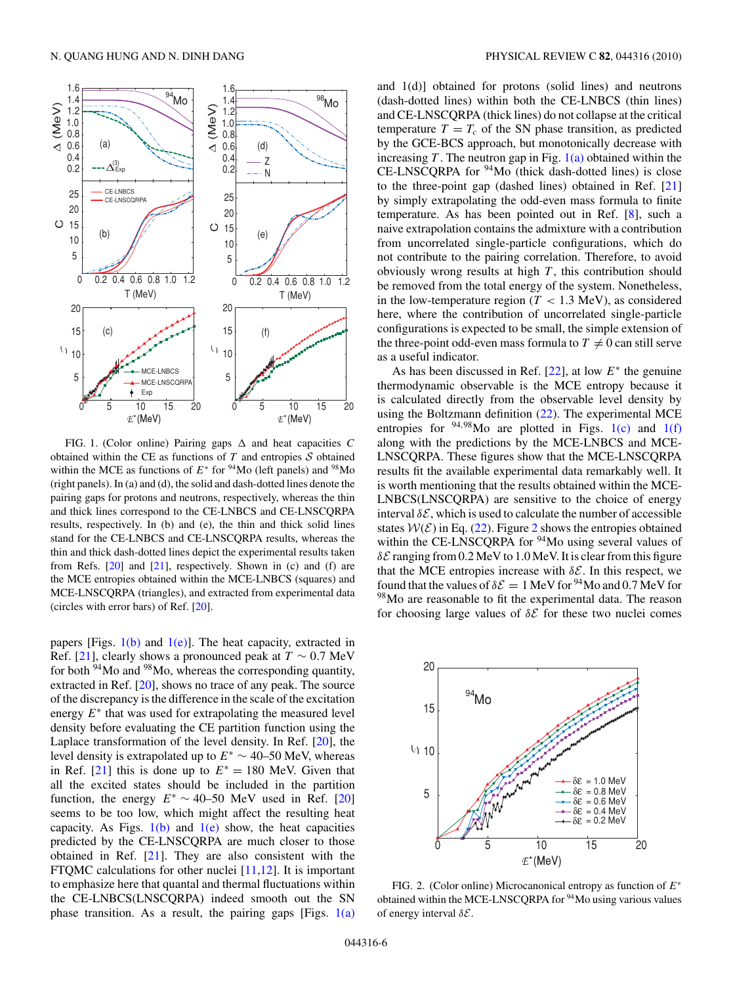<span id="page-5-0"></span>

FIG. 1. (Color online) Pairing gaps  $\Delta$  and heat capacities C obtained within the CE as functions of  $T$  and entropies  $S$  obtained within the MCE as functions of  $E^*$  for <sup>94</sup>Mo (left panels) and <sup>98</sup>Mo (right panels). In (a) and (d), the solid and dash-dotted lines denote the pairing gaps for protons and neutrons, respectively, whereas the thin and thick lines correspond to the CE-LNBCS and CE-LNSCQRPA results, respectively. In (b) and (e), the thin and thick solid lines stand for the CE-LNBCS and CE-LNSCQRPA results, whereas the thin and thick dash-dotted lines depict the experimental results taken from Refs. [\[20\]](#page-8-0) and [\[21\]](#page-8-0), respectively. Shown in (c) and (f) are the MCE entropies obtained within the MCE-LNBCS (squares) and MCE-LNSCQRPA (triangles), and extracted from experimental data (circles with error bars) of Ref. [\[20\]](#page-8-0).

papers [Figs.  $1(b)$  and  $1(e)$ ]. The heat capacity, extracted in Ref. [\[21\]](#page-8-0), clearly shows a pronounced peak at  $T \sim 0.7$  MeV for both  $94$ Mo and  $98$ Mo, whereas the corresponding quantity, extracted in Ref. [\[20\]](#page-8-0), shows no trace of any peak. The source of the discrepancy is the difference in the scale of the excitation energy *E*<sup>∗</sup> that was used for extrapolating the measured level density before evaluating the CE partition function using the Laplace transformation of the level density. In Ref. [\[20\]](#page-8-0), the level density is extrapolated up to  $E^* \sim 40-50$  MeV, whereas in Ref. [\[21\]](#page-8-0) this is done up to  $E^* = 180$  MeV. Given that all the excited states should be included in the partition function, the energy  $E^* \sim 40-50$  MeV used in Ref. [\[20\]](#page-8-0) seems to be too low, which might affect the resulting heat capacity. As Figs.  $1(b)$  and  $1(e)$  show, the heat capacities predicted by the CE-LNSCQRPA are much closer to those obtained in Ref. [\[21\]](#page-8-0). They are also consistent with the FTQMC calculations for other nuclei [\[11,12\]](#page-8-0). It is important to emphasize here that quantal and thermal fluctuations within the CE-LNBCS(LNSCQRPA) indeed smooth out the SN phase transition. As a result, the pairing gaps [Figs.  $1(a)$ ]

and 1(d)] obtained for protons (solid lines) and neutrons (dash-dotted lines) within both the CE-LNBCS (thin lines) and CE-LNSCQRPA (thick lines) do not collapse at the critical temperature  $T = T_c$  of the SN phase transition, as predicted by the GCE-BCS approach, but monotonically decrease with increasing  $T$ . The neutron gap in Fig.  $1(a)$  obtained within the CE-LNSCQRPA for 94Mo (thick dash-dotted lines) is close to the three-point gap (dashed lines) obtained in Ref. [\[21\]](#page-8-0) by simply extrapolating the odd-even mass formula to finite temperature. As has been pointed out in Ref. [\[8\]](#page-8-0), such a naive extrapolation contains the admixture with a contribution from uncorrelated single-particle configurations, which do not contribute to the pairing correlation. Therefore, to avoid obviously wrong results at high *T* , this contribution should be removed from the total energy of the system. Nonetheless, in the low-temperature region  $(T < 1.3 \text{ MeV})$ , as considered here, where the contribution of uncorrelated single-particle configurations is expected to be small, the simple extension of the three-point odd-even mass formula to  $T \neq 0$  can still serve as a useful indicator.

As has been discussed in Ref. [\[22\]](#page-8-0), at low *E*<sup>∗</sup> the genuine thermodynamic observable is the MCE entropy because it is calculated directly from the observable level density by using the Boltzmann definition [\(22\)](#page-3-0). The experimental MCE entropies for  $94,98$ Mo are plotted in Figs. 1(c) and 1(f) along with the predictions by the MCE-LNBCS and MCE-LNSCQRPA. These figures show that the MCE-LNSCQRPA results fit the available experimental data remarkably well. It is worth mentioning that the results obtained within the MCE-LNBCS(LNSCQRPA) are sensitive to the choice of energy interval  $\delta \mathcal{E}$ , which is used to calculate the number of accessible states  $W(\mathcal{E})$  in Eq. [\(22\)](#page-3-0). Figure 2 shows the entropies obtained within the CE-LNSCQRPA for <sup>94</sup>Mo using several values of *δ*E ranging from 0.2 MeV to 1.0 MeV. It is clear from this figure that the MCE entropies increase with  $\delta \mathcal{E}$ . In this respect, we found that the values of  $\delta \mathcal{E} = 1$  MeV for <sup>94</sup>Mo and 0.7 MeV for 98Mo are reasonable to fit the experimental data. The reason for choosing large values of *δ*E for these two nuclei comes



FIG. 2. (Color online) Microcanonical entropy as function of *E*<sup>∗</sup> obtained within the MCE-LNSCQRPA for <sup>94</sup>Mo using various values of energy interval *δ*E.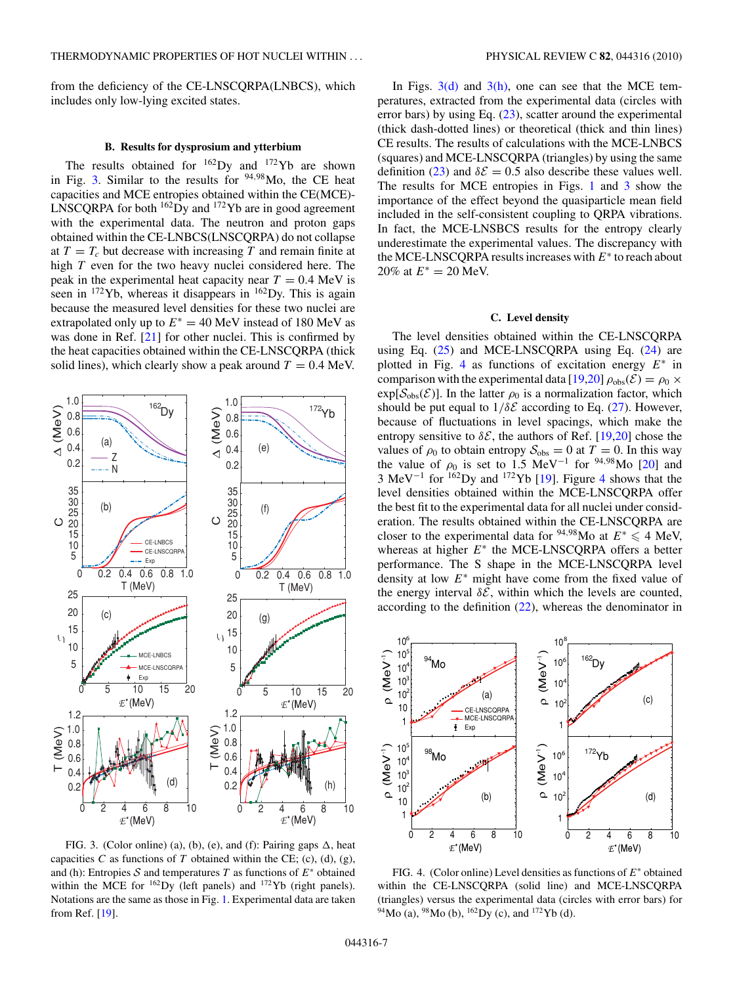from the deficiency of the CE-LNSCQRPA(LNBCS), which includes only low-lying excited states.

## **B. Results for dysprosium and ytterbium**

The results obtained for  $^{162}$ Dy and  $^{172}$ Yb are shown in Fig. 3. Similar to the results for <sup>94</sup>*,*98Mo, the CE heat capacities and MCE entropies obtained within the CE(MCE)- LNSCQRPA for both  ${}^{162}Dy$  and  ${}^{172}Yb$  are in good agreement with the experimental data. The neutron and proton gaps obtained within the CE-LNBCS(LNSCQRPA) do not collapse at  $T = T_c$  but decrease with increasing T and remain finite at high *T* even for the two heavy nuclei considered here. The peak in the experimental heat capacity near  $T = 0.4$  MeV is seen in <sup>172</sup>Yb, whereas it disappears in <sup>162</sup>Dy. This is again because the measured level densities for these two nuclei are extrapolated only up to  $E^* = 40$  MeV instead of 180 MeV as was done in Ref. [\[21\]](#page-8-0) for other nuclei. This is confirmed by the heat capacities obtained within the CE-LNSCQRPA (thick solid lines), which clearly show a peak around  $T = 0.4$  MeV.



FIG. 3. (Color online) (a), (b), (e), and (f): Pairing gaps  $\Delta$ , heat capacities *C* as functions of *T* obtained within the CE; (c), (d), (g), and (h): Entropies  $S$  and temperatures  $T$  as functions of  $E^*$  obtained within the MCE for  $^{162}$ Dy (left panels) and  $^{172}$ Yb (right panels). Notations are the same as those in Fig. [1.](#page-5-0) Experimental data are taken from Ref. [\[19\]](#page-8-0).

In Figs.  $3(d)$  and  $3(h)$ , one can see that the MCE temperatures, extracted from the experimental data (circles with error bars) by using Eq.  $(23)$ , scatter around the experimental (thick dash-dotted lines) or theoretical (thick and thin lines) CE results. The results of calculations with the MCE-LNBCS (squares) and MCE-LNSCQRPA (triangles) by using the same definition [\(23\)](#page-3-0) and  $\delta \mathcal{E} = 0.5$  also describe these values well. The results for MCE entropies in Figs. [1](#page-5-0) and 3 show the importance of the effect beyond the quasiparticle mean field included in the self-consistent coupling to QRPA vibrations. In fact, the MCE-LNSBCS results for the entropy clearly underestimate the experimental values. The discrepancy with the MCE-LNSCQRPA results increases with *E*<sup>∗</sup> to reach about 20% at  $E^* = 20$  MeV.

#### **C. Level density**

The level densities obtained within the CE-LNSCQRPA using Eq.  $(25)$  and MCE-LNSCQRPA using Eq.  $(24)$  are plotted in Fig. 4 as functions of excitation energy *E*<sup>∗</sup> in comparison with the experimental data [\[19,20\]](#page-8-0)  $\rho_{obs}(\mathcal{E}) = \rho_0 \times$  $exp[\mathcal{S}_{obs}(\mathcal{E})]$ . In the latter  $\rho_0$  is a normalization factor, which should be put equal to  $1/\delta \mathcal{E}$  according to Eq. [\(27\)](#page-4-0). However, because of fluctuations in level spacings, which make the entropy sensitive to  $\delta \mathcal{E}$ , the authors of Ref. [\[19,20\]](#page-8-0) chose the values of  $\rho_0$  to obtain entropy  $S_{obs} = 0$  at  $T = 0$ . In this way the value of  $\rho_0$  is set to 1.5 MeV<sup>-1</sup> for <sup>94,98</sup>Mo [\[20\]](#page-8-0) and 3 MeV<sup>-1</sup> for <sup>162</sup>Dy and <sup>172</sup>Yb [\[19\]](#page-8-0). Figure 4 shows that the level densities obtained within the MCE-LNSCQRPA offer the best fit to the experimental data for all nuclei under consideration. The results obtained within the CE-LNSCQRPA are closer to the experimental data for <sup>94,98</sup>Mo at  $E^* \leq 4$  MeV, whereas at higher *E*<sup>∗</sup> the MCE-LNSCQRPA offers a better performance. The S shape in the MCE-LNSCQRPA level density at low *E*<sup>∗</sup> might have come from the fixed value of the energy interval  $\delta \mathcal{E}$ , within which the levels are counted, according to the definition  $(22)$ , whereas the denominator in



FIG. 4. (Color online) Level densities as functions of *E*<sup>∗</sup> obtained within the CE-LNSCQRPA (solid line) and MCE-LNSCQRPA (triangles) versus the experimental data (circles with error bars) for <sup>94</sup>Mo (a), <sup>98</sup>Mo (b), <sup>162</sup>Dy (c), and <sup>172</sup>Yb (d).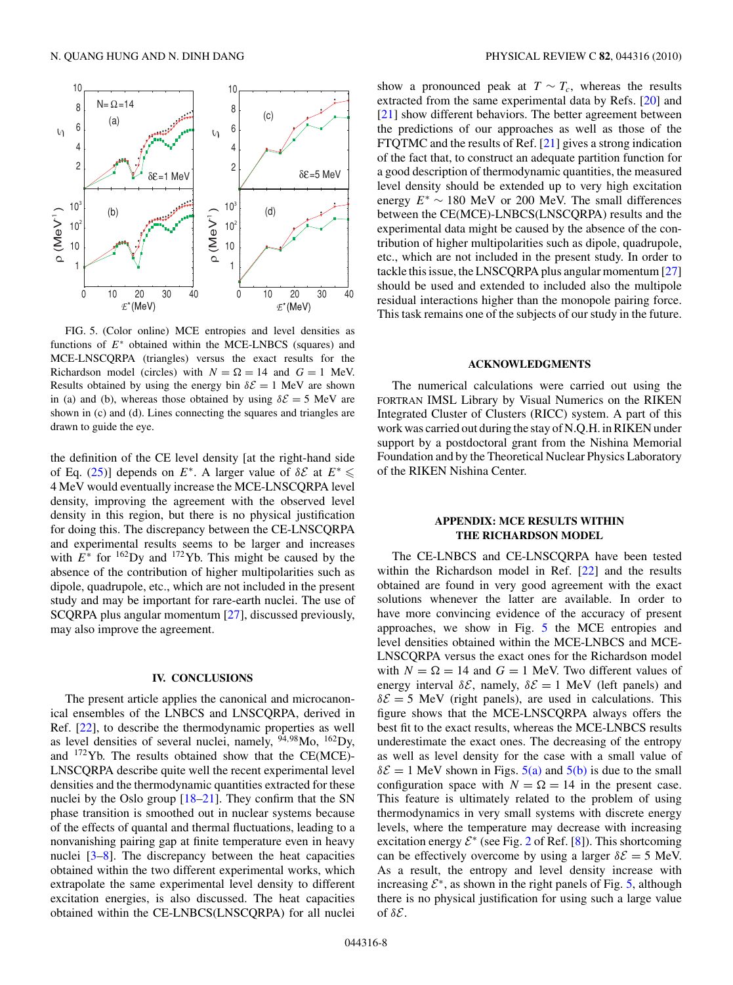

FIG. 5. (Color online) MCE entropies and level densities as functions of  $E^*$  obtained within the MCE-LNBCS (squares) and MCE-LNSCQRPA (triangles) versus the exact results for the Richardson model (circles) with  $N = \Omega = 14$  and  $G = 1$  MeV. Results obtained by using the energy bin  $\delta \mathcal{E} = 1$  MeV are shown in (a) and (b), whereas those obtained by using  $\delta \mathcal{E} = 5$  MeV are shown in (c) and (d). Lines connecting the squares and triangles are drawn to guide the eye.

the definition of the CE level density [at the right-hand side of Eq. [\(25\)](#page-4-0)] depends on  $E^*$ . A larger value of  $\delta \mathcal{E}$  at  $E^* \leq$ 4 MeV would eventually increase the MCE-LNSCQRPA level density, improving the agreement with the observed level density in this region, but there is no physical justification for doing this. The discrepancy between the CE-LNSCQRPA and experimental results seems to be larger and increases with  $E^*$  for <sup>162</sup>Dy and <sup>172</sup>Yb. This might be caused by the absence of the contribution of higher multipolarities such as dipole, quadrupole, etc., which are not included in the present study and may be important for rare-earth nuclei. The use of SCQRPA plus angular momentum [\[27\]](#page-8-0), discussed previously, may also improve the agreement.

## **IV. CONCLUSIONS**

The present article applies the canonical and microcanonical ensembles of the LNBCS and LNSCQRPA, derived in Ref. [\[22\]](#page-8-0), to describe the thermodynamic properties as well as level densities of several nuclei, namely, <sup>94</sup>*,*98Mo, 162Dy, and 172Yb. The results obtained show that the CE(MCE)- LNSCQRPA describe quite well the recent experimental level densities and the thermodynamic quantities extracted for these nuclei by the Oslo group [\[18–21\]](#page-8-0). They confirm that the SN phase transition is smoothed out in nuclear systems because of the effects of quantal and thermal fluctuations, leading to a nonvanishing pairing gap at finite temperature even in heavy nuclei [\[3–8\]](#page-8-0). The discrepancy between the heat capacities obtained within the two different experimental works, which extrapolate the same experimental level density to different excitation energies, is also discussed. The heat capacities obtained within the CE-LNBCS(LNSCQRPA) for all nuclei

show a pronounced peak at  $T \sim T_c$ , whereas the results extracted from the same experimental data by Refs. [\[20\]](#page-8-0) and [\[21\]](#page-8-0) show different behaviors. The better agreement between the predictions of our approaches as well as those of the FTQTMC and the results of Ref. [\[21\]](#page-8-0) gives a strong indication of the fact that, to construct an adequate partition function for a good description of thermodynamic quantities, the measured level density should be extended up to very high excitation energy  $E^* \sim 180$  MeV or 200 MeV. The small differences between the CE(MCE)-LNBCS(LNSCQRPA) results and the experimental data might be caused by the absence of the contribution of higher multipolarities such as dipole, quadrupole, etc., which are not included in the present study. In order to tackle this issue, the LNSCQRPA plus angular momentum [\[27\]](#page-8-0) should be used and extended to included also the multipole residual interactions higher than the monopole pairing force. This task remains one of the subjects of our study in the future.

### **ACKNOWLEDGMENTS**

The numerical calculations were carried out using the FORTRAN IMSL Library by Visual Numerics on the RIKEN Integrated Cluster of Clusters (RICC) system. A part of this work was carried out during the stay of N.Q.H. in RIKEN under support by a postdoctoral grant from the Nishina Memorial Foundation and by the Theoretical Nuclear Physics Laboratory of the RIKEN Nishina Center.

### **APPENDIX: MCE RESULTS WITHIN THE RICHARDSON MODEL**

The CE-LNBCS and CE-LNSCQRPA have been tested within the Richardson model in Ref. [\[22\]](#page-8-0) and the results obtained are found in very good agreement with the exact solutions whenever the latter are available. In order to have more convincing evidence of the accuracy of present approaches, we show in Fig. 5 the MCE entropies and level densities obtained within the MCE-LNBCS and MCE-LNSCQRPA versus the exact ones for the Richardson model with  $N = \Omega = 14$  and  $G = 1$  MeV. Two different values of energy interval  $\delta \mathcal{E}$ , namely,  $\delta \mathcal{E} = 1$  MeV (left panels) and  $\delta \mathcal{E} = 5$  MeV (right panels), are used in calculations. This figure shows that the MCE-LNSCQRPA always offers the best fit to the exact results, whereas the MCE-LNBCS results underestimate the exact ones. The decreasing of the entropy as well as level density for the case with a small value of  $\delta \mathcal{E} = 1$  MeV shown in Figs.  $5(a)$  and  $5(b)$  is due to the small configuration space with  $N = \Omega = 14$  in the present case. This feature is ultimately related to the problem of using thermodynamics in very small systems with discrete energy levels, where the temperature may decrease with increasing excitation energy  $\mathcal{E}^*$  (see Fig. [2](#page-5-0) of Ref. [\[8\]](#page-8-0)). This shortcoming can be effectively overcome by using a larger  $\delta \mathcal{E} = 5$  MeV. As a result, the entropy and level density increase with increasing  $\mathcal{E}^*$ , as shown in the right panels of Fig. 5, although there is no physical justification for using such a large value of *δ*E.